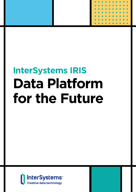

# **InterSystems IRIS Data Platform for the Future**

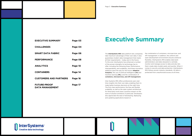| <b>EXECUTIVE SUMMARY</b>                      | Page 03 |
|-----------------------------------------------|---------|
| <b>CHALLENGES</b>                             | Page 04 |
| <b>SMART DATA FABRIC</b>                      | Page 06 |
| <b>PERFORMANCE</b>                            | Page 08 |
| <b>ANALYTICS</b>                              | Page 10 |
| <b>CONTAINERS</b>                             | Page 14 |
| <b>CUSTOMERS AND PARTNERS</b>                 | Page 16 |
| <b>FUTURE-PROOF</b><br><b>DATA MANAGEMENT</b> | Page 17 |

### **Executive Summary**

The **InterSystems IRIS** data platform lets companies take maximum advantage of their own data. It also guarantees modern data management that meets all their requirements – today and in the future. To this end, InterSystems has enhanced a number of the proven strengths its technology has to offer, including the following three: Performance, interoperability, and scalability. And three innovative additions pave the way for the future: **Adaptive Analytics**, the use of artificial intelligence **(AI)** and machine learning **(ML)**, and the combination of **containers, microservices, and API management.**

Inter-Systems IRIS offers professional users realtime insights into their own data, enabling them to make better business decisions at the right time. The first-class performance, the free and flexible scalability, as well as the open system architecture for third-party tools have a positive impact on the work of solution architects in particular. Developers also appreciate the ease of developing, deploying, and updating applications based on





the combination of containers, microservices, and API management. In addition, the uniform and open development environment ensures extensive flexibility. InterSystems IRIS enables data bank administrators and data stewards to centrally monitor and manage access to data and also lets them create data models easily and quickly. When it comes to security and data protection, InterSystems IRIS follows proven industry standards. All data is protected from unauthorized access at all times.

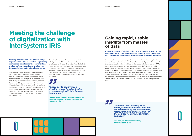#### **Meeting the requirements of advancing digitalization – this is the challenge facing companies' development departments as well as software providers, implementation specialists, and system integrators.**

Many of them already rely on InterSystems IRIS to optimize their data management so they can lay a robust, powerful foundation for digital transformation. The data platform stands out for first-class performance, interoperability, free and flexible scalability, and security. It also provides integrated capabilities for data analytics, business intelligence (BI), and the use of AI and ML. Overall, InterSystems IRIS lets companies maintain an overview of all their data in real time as well as combining, evaluating, and using it – whether structured or not.

**A central feature of digitalization is exponential growth in the volume of data. Companies in every industry need to manage this information overload in order to make informed decisions.**

A company's success increasingly depends on having a direct insight into and immediate access to all relevant data at all times. InterSystems IRIS responds to this challenge by using hybrid transactional/analytical processing (HTAP) that guarantees exceptionally high performance and efficiency for multiworkloads in real time in any use case. This makes it possible to record large amounts of transactional data and perform complex analyses at the same time. Plus, InterSystems IRIS breaks down application and data silos so that the company can make maximum use of its own data. In conjunction with the AI, ML, and BI functions and tools integrated in the data platform, this enables the implementation of a smart data fabric – the evolution of the enterprise data fabric.

### **Gaining rapid, usable insights from masses of data**

## **Meeting the challenge of digitalization with InterSystems IRIS**

Therefore the solution forms an ideal basis for intelligent, data-driven business models, such as offering up-to-date services in the financial industry. At the same time, it promotes the necessary change processes toward smart factories and networked logistics. Thanks to these new ideas and concepts, companies and software providers alike can maintain their competitive edge and be ready for the future.

### *"I have yet to experience a situation where I couldn't solve a requirement with InterSystems technology."*

*"We have been working with InterSystems for decades now and are impressed by the performance, interoperability, and scalability of the company's data management solutions."*

**Ralf Spielmann, System/Database Architect and Chapter Manager for Database Development, NOVENTI Health SE**

> **Jens Bohl, Chief Information Officer, TRANSWAGGON GmbH**





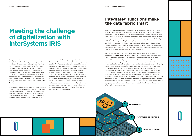





# **Meeting the challenge of digitalization with InterSystems IRIS**

Many companies are under enormous pressure to digitalize their business processes, primarily to meet new data management requirements. They have to impress when it comes to performance, interoperability, scalability, and security and ideally simplify their analyses. Comprehensive interoperability is particularly important because it makes it possible to link all the available data sources, which in turn enables insightful analyses. One concept that meets all the requirements for cutting-edge data management is the **smart data fabric.**

company's applications, systems, and services. Given that the smart data fabric is built on top of the existing IT infrastructure, there is no need for a timeconsuming, expensive redesign – known as "rip and replace." Instead, existing technologies, applications, and services can still be used, no matter where exactly they are located (they can be operated both locally and in the cloud without any issues). In addition, the smart data fabric significantly reduces the complexity of a company's IT infrastructure, which both simplifies operation and maintenance as well as decreasing the costs involved. Updating the company's data management and automating it to the greatest possible extent will also eliminate any inefficiencies in the workflow.

A smart data fabric can be used to merge, cleanse, and harmonize all historical and current data from internal and external sources. All these processes take place regardless of the source of the data, its transmission protocol, or format. The result is comprehensive interoperability between all the

As a whole, the smart data fabric enables a central view of all data in the company – a **single source of truth (SSOT)**. In addition to data discovery, data lineage, and data governance, this comprehensive transparency also makes it possible to visualize all processes via a cockpit or dashboard. As a result, business users have quick and easy access to a wide range of clean data, also known as healthy data. This data is always up-to-date, accurate, and trustworthy. Healthy data forms the basis for enabling companies with the corresponding applications to easily perform real-time analyses, to make well-informed decisions much faster, to act more quickly than the competition in the event of problems and crisis situations, and to anticipate future developments using predictive analytics. A larger, unified data base also promotes innovation, as more information triggers new developments around a company's own products and services and optimization opportunities are recognized in a short time and sales potential is quickly identified. This puts companies one step ahead of their competitors and lets them gain the trust of satisfied and loyal customers by offering innovative services.

What distinguishes the smart data fabric from the enterprise data fabric are the built-in capabilities for analyzing data, visually displaying it in BI dashboards, and using AI and ML to gain and leverage insights that are immediately relevant. Companies don't have to use tedious and time-consuming processes to involve other systems, applications, or tools in a task – instead, they can work directly with the data. **IntegratedML**, for example, provides companies with a tool that helps employees with basic SQL knowledge to implement ML scenarios independently. It has a simple user interface that makes it easier to create and execute ML models as well as monitor the result sets. A data scientist then takes care of optimizing the individual models if necessary.

### **Integrated functions make the data fabric smart**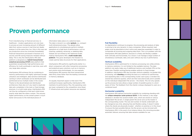## **Proven performance**

From manufacturing, to financial services, to healthcare – modern applications not only have to process an ever-increasing amount of different data from various sources in real time but ideally analyze it at the same time, too. Only in this way can any production errors be corrected immediately, financial transactions processed in fractions of a second, and life-saving measures initiated without delay. This is why the InterSystems IRIS data platform is designed as a **hybrid transactional/ analytical processing (HTAP)** data platform that guarantees exceptionally high performance and efficiency for multi-workloads in real-time, even with very large data volumes.

InterSystems IRIS achieves this by combining inmemory performance with highly optimized storage utilization and intelligent, data-sensitive distributed caching in which workloads can be distributed and partitioned across multiple nodes in the cluster. Thanks to the decentralized and distributed architecture, there also isn't any need to duplicate data sets completely in the main or fixed storage anymore. In a multi-node setup, InterSystems IRIS can thus be configured so that each node knows exactly what data the others contain. This ensures higher performance, as the overall system is much leaner and access to the individual pieces of

information takes place on a selective basis. The data is stored in so-called **globals**, i.e., compact multi-dimensional arrays. The globals allow applications to simultaneously perform multiple operations at a high level of performance, such as inserting, updating, retrieving, or deleting data. Globals are not limited to the relational model, making InterSystems IRIS a **multi-model data platform**. This gives developers the freedom to create optimal data structures for their applications.

InterSystems IRIS performs significantly better in a direct comparison with other transaction processing and analytical query solutions, such as in-memory and column-store technologies. As one example, InterSystems IRIS queries real-time transactional data thirty times faster than the leading commercial in-memory database.

An equally important aspect is that even if the workload increases significantly, InterSystems IRIS maintains its performance. Plus, the operating costs are lower compared to the competition since fewer IT infrastructure and system resources are required.

#### **Full flexibility**

As digitalization continues to progress, the processing and analysis of data is proving to be very dynamic in many companies. Where required, load peaks must be absorbed at short notice and capacities expanded in order to orchestrate all incoming and outgoing data flows. This is no problem with the InterSystems IRIS data platform, because it is freely and flexibly scalable – both vertically and horizontally. As a result, it can manage a large number of simultaneous workloads, data, and users without any loss in performance.

#### **Vertical scalability**

InterSystems IRIS is optimized for in-memory processing, but unlike entirely in-memory solutions, it is not limited to the available memory. The data platform can easily make use of additional memory and multiple CPUs at the same time. Flexible caching/tiering enables spillover to fixed storage. In addition, InterSystems IRIS also provides vertical scalability via parallel SQL processing, with **sharding** providing the basis as a method for partitioning and separating data. In the corresponding cluster, each query is divided into several less extensive queries, which are then executed locally and in parallel on the individual independent file servers – the shards. This not only speeds up the process but also allows a large number of parallel queries in a short space of time. The feedback from the shards is always displayed to users as a combined result.

#### **Horizontal scalability**

InterSystems IRIS delivers horizontal scalability by combining sharding with the **unique enterprise cache protocol (ECP)**. In this method, a very large database is divided into several smaller units, which are stored on various independent file servers. A single parent file server acts as the master in the corresponding cluster. The size and number of shards underneath can be changed at any time, allowing free and flexible scaling. It doesn't matter where the shards are physically located – whether on-premise or in the cloud. To ensure the best possible failover, the file servers can be mirrored with InterSystems IRIS. In the event of an instance failure, this mirroring provides automatic failover, ensuring that data remains available for use.







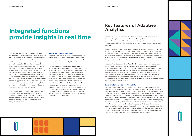# **Integrated functions provide insights in real time**

InterSystems IRIS has a number of integrated functions for analyzing structured and unstructured data – regardless of its respective format. Patterns, trends, and relationships in the data sets can be identified quickly and easily with the help of predictive modeling, BI, and the corresponding dashboards as well as the complementary use of AI and ML. This enables companies to maintain an overview of the current situation, react quickly to changes, and make accurate predictions. At the same time, a customizable workflow engine is available to issue manual or automatic alerts in case of anomalies and to initiate corrective actions. The same applies to business processes in general: As soon as clearly defined criteria are met, further processes or actions follow, which simplifies and accelerates the workflow significantly.

InterSystems IRIS is an open data platform, which means it allows seamless integration of bestof-breed solutions. Developers and companies can essentially use any tool to provide for better decision making, e.g. the Apache Spark data analytics framework.

#### **BI for the highest demands**

Adaptive Analytics is an optional extension for the InterSystems IRIS data platform that makes it even more powerful, enabling accurate and rapid analyses of data at scale, based on BI, AI, and ML.

For this purpose, a **virtual data model layer** is inserted between InterSystems IRIS and common BI, AI, and ML tools. An intuitive user interface provides the experts in charge with access to this layer and helps them to develop a semantic data model in the form of a virtual cube. This cube can be used to organize data, define uniform identifiers across existing application and data silos, and uniquely identify data fields. A **centralized data model** helps companies to solve the problem posed by different definitions or divergent calculations and to provide their employees with a uniform, consistent overview of relevant information and key figures, which enables better business decisions across all departments in a short time.

For best-in-class performance, all data always remains in InterSystems IRIS. Adaptive Analytics accesses the data in real time, which prevents content gaps and retrieval of outdated information. Changes to the data model are immediately available in the semantic layer without causing downtime on the user side.

Based on the incoming queries, Adaptive Analytics learns on a continuous basis. For example, the solution captures frequently asked queries and automatically creates aggregates, which in turn greatly increase the speed and efficiency of the system by minimizing access times. In contrast to conventional caching, the queries are also supplemented with additional data fields that may be relevant for queries in the future, which further reduces access times.

Adaptive Analytics supports **self-service BI** so employees in companies can perform interactive and multi-dimensional analyses and create or modify dashboards independently and without the involvement of the IT department. The users are free to decide which tools they use for this purpose. Adaptive Analytics allows the integration of different third-party BI tools – such as Microsoft Excel, Power BI, Tableau, or Qlik – so the unified online analytical processing model (OLAP) can be accessed via them. This is always done independently of the respective query format of the tools so that specific queries are always answered identically.

#### **Easy implementation of AI and ML**

AI and ML offer significant potential by optimizing companies' decision-making processes. Using AI and ML technology accelerates these processes, gives them the capacity to work through larger volumes of data, and thus boosts their precision. Above all, AI and ML make it easy to process and analyze the ever-growing volumes of data. At the same time, companies benefit from the automation that comes with them because algorithms – based on live information – can make decisions in real time and thus perform individual business processes completely autonomously, making them more efficient, less prone to error, and more transparent. The use of AI and ML also offers the opportunity to optimize overall productivity and efficiency, provide high-quality and innovative products or services, reduce operating and maintenance costs, and improve the customer experience. In this way, companies can gain a sustainable competitive advantage, open up new sources of revenue, and thus optimize their value creation.







### **Key features of Adaptive Analytics**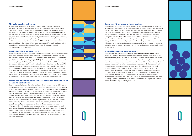A sufficiently large volume of relevant data of high quality is critical to the success of AI and ML projects. InterSystems IRIS makes it possible to merge, cleanse, and harmonize all of an organization's current and historical data – regardless of the source or format. This clean data, also called **healthy data**, is the only way to obtain high-quality results. When it comes to implementing the projects, there's also InterSystems IRIS hybrid transactional/analytical processing (HTAP). This guarantees exceptionally high performance and efficiency for multi-workloads, paving the way for **KI- and ML-optimized processes in real time**. In addition, the data platform is perfectly suited for easily and conveniently adapting the format and structure of data according to the respective requirements prior to analysis.

#### **Combining all the necessary tools**

The InterSystems IRIS data platform has high-performance interfaces to powerful third-party tools for developing a company's own AI and ML models. Among others, these include DataRobot, H2O, Apache Spark, and KNIME. Thanks to the **predictive model markup language (PMML)**, the models of external tools can be seamlessly integrated into applications based on InterSystems IRIS. Many popular tools support the export of models via this industry standard. InterSystems IRIS can execute these models natively so they can be implemented in real time as part of individual business processes. The data always remains in InterSystems IRIS; no extraction is required. As a result, the tools benefit from both the firstclass performance of the data platform as well as its free and flexible scalability. Taken together, they result in connections with higher throughput, faster queries, more efficient use of system resources, and an excellent user experience.

### **Embedded Python simplifies and accelerates the development of AI and ML applications**

knowledge to implement ML scenarios independently. An in-depth knowledge-of as well as monitor the result sets. The individual ML processes are initiated -- complex tasks when they no longer have to worry about data access and model IntegratedML also gives companies a tool that helps employees with basic SQL ML technologies is not required for this purpose. This is because the tool offers a simple user interface that makes it easier to create and execute ML models using **SQL-like function calls**. A data scientist then takes care of optimizing the individual models if necessary. The practical significance of a tool like IntegratedML is apparent in light of the acute shortage of skilled workers on the labor market in particular. Besides this, data scientists have more time for more provisioning.

- InterSystems IRIS also supports **natural language processing (NLP)**, which refers to functions that go beyond the conventional reading of forms. NLP can be used to analyze the content and sentiment of texts, which in turn allows the extraction of specific information and knowledge – for example, from documents, note fields, or social media feeds. The functions are different from those of other solutions because they take a unique bottom-up approach that automatically recognizes concepts and relationships in text. This is based on a thorough understanding of the language rather than a top-down view in a particular subject area. As a result, there is no need for lengthy, restrictive predefinition of dictionaries or ontologies or for specific domain knowledge. Besides this, InterSystems IRIS also supports the industry standard, Unified Information Management Architecture (UIMA). This allows NLP components to be included in a single pipeline, and the output can be conveniently managed and used in applications that rely on InterSystems IRIS.



Geared especially toward the quick and easy development of AI- and ML-based applications and services, InterSystems IRIS offers native support for the popular programming language Python since version 2021.2 under the name **Embedded Python**. Embedded Python is an extension to the Python programming language that allows Python code to be executed within the InterSystems IRIS process context, significantly boosting application performance with large volumes of data in particular. An important factor is that Embedded Python can interact natively with objects written in ObjectScript because it uses the same process context as ObjectScript. The reverse is also true, and ObjectScript code can directly access Python modules and libraries. This enables a new level of interoperability between the two languages, allowing objects, methods, and even complete code libraries to be seamlessly exchanged between Python and ObjectScript contexts. Specialists such as data scientists and data architects are thus able to use the numerous freely available Python libraries directly in InterSystems IRIS – which streamlines and simplifies the development process to a significant extent.







#### **IntegratedML enhances in-house projects**

#### **Natural language processing support**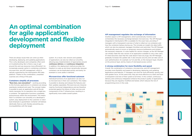# **An optimal combination for agile application development and flexible deployment**

There are always issues that can come up when developing, deploying, and updating applications. This is why developers and companies often work on troubleshooting. But is there a way to get around this and use resources more efficiently? An increasingly popular option is combining containers, microservices, and API management, which is natively supported by the InterSystems IRIS data platform. Thanks to this combination, unwanted surprises are a thing of the past.

#### **Containers simplify all processes**

Individual functions of an application can also run as microservices in their own containers. This makes it possible to develop and release the features and their updates separately. Microservices are characterized by functional independence and are therefore protected against the failure of other services and components of the IT infrastructure, resulting in a significantly more stable overall system.

**"Runs here, runs everywhere"** – working according to this formula, applications in containers are always seamlessly rendered and used. The concept makes it possible to pack an application and all the elements necessary for its operation into a single box, a container. The application functions completely autonomously within this environment. This means that if a container runs smoothly on a developer's system, easy deployment to the customer or individual employee is guaranteed. Container will behave identically there as well, thereby preventing any incompatibilities with the target

system. As a result, new versions and updates of applications can also be rolled out smoothly, allowing easy implementation of approaches around **continuous delivery** and **continuous integration**. In addition, this deployment method provides the freedom to scale up and down dynamically, because containers can be duplicated quickly and easily, for example to cover peaks in demand.

#### **Microservices offer functional autonom**

### **API management regulates the exchange of information**

Another aspect is API management, which automatically monitors and orchestrates the necessary exchange between microservices. The API Manager integrated in InterSystems IRIS is available for this exact task, providing IT managers with a transparent overview of what is rolled out via containers and how the containers behave during use. This includes an insight into data traffic, which can also be analyzed, managed, throttled, and restricted. The API Manager automatically reacts to errors or temporary resource bottlenecks and initiates the necessary measures. It is also helpful for version changes, as the API Manager can initially make the new version of an application available to only a few users. If it then becomes clear that the code doesn't have any bugs, the API Manager gradually increases the update rate. It also ensures security and can take care of user authentication, for example via TLS and SSL on the transport layer, OAuth2 on the protocol layer, and by means of role-based access control.

#### **A strong combination for more flexibility and speed**

Overall, the combination of containers, microservices, and API management provides more flexibility and speed in developing, deploying, and updating applications and features. IT managers can work far more efficiently, quickly, and with greater focus. At the same time, they are more effective as a team and have a transparent overview of their system at all times. In this context, continuous delivery and continuous integration enhance the product quality of applications because they are regularly modified and tested, which reduces the risk of programming errors in the code.







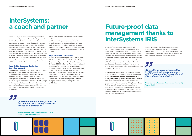# **InterSystems: a coach and partner**

For over 40 years, InterSystems has provided its customers and partners with outstanding support that has had a decisive impact on our shared success. Among other things, they receive access to extensive in-person and online training to help them exploit the full potential of the InterSystems IRIS data platform. Customers and partners will find a wealth of relevant information summarized in the InterSystems IRIS Experience. A fully functional data platform sandbox is also available here, allowing for practical tests and experiments.Additional expertise is passed on in regular webinars and especially within the lively developer community.

#### **Worldwide Response Center for technical support**

Customers and partners can contact the Worldwide Response Center for technical support, which is staffed around the clock with highly qualified software experts. During local office hours, InterSystems customers and partners can always reach an expert who speaks the respective language in the region. InterSystems doesn't outsource services to call centers, so anyone seeking support always communicates directly with InterSystems employees.

These professionals provide immediate support and take as much time as needed to resolve the problem. In doing so, they attach importance to understanding all processes in the company and not just the immediate problem. Customers and partners define the priority of their problem themselves and decide when the support case is closed.

### **High customer satisfaction**

In 2020, Gartner once again named InterSystems "Customer's Choice" in the Gartner Peer Insights Program for Operational Database Management Systems (ODBMS). Gartner Peer Insights is based on reviews from verified end users and their experiences with purchasing, implementing, and operating the InterSystems IRIS data platform. The categories evaluated were scalability, speed, deployment options, and customer service. InterSystems IRIS achieved the best result in the Operational Database Management Systems category with an average rating of 4.7 out of 5.0 stars.

*"I told the team at InterSystems: 'In my opinion, "IRIS" really stands for "It Really Is Simple".'"*

**Dagmar Causley, Managing Director, LIB-IT DMS GmbHTRANSWAGGON GmbH**





## **Future-proof data management thanks to InterSystems IRIS**

The use of InterSystems IRIS ensures highperformance, innovative, and future-proof data management that demonstrates its strengths in all industries and use cases. Developers and business users have fast and easy access to all relevant data. In addition, data management is largely automated, which greatly simplifies and accelerates daily work with the ever-growing volume of data. This gives database administrators and data stewards more time to work on other complex tasks and to develop additional data sets. Solution architects thus have extensive scope to set up their system according to individual requirements. This includes better business process orchestration that can be performed directly on the data platform, making it easier and faster.

In terms of its implementation, the data platform offers a number of options: It enables **deployment in the cloud (public, private, hybrid) as well as locally (on-premise) or in virtual machines**. To this end, InterSystems IRIS is available on all leading cloud infrastructures, including AWS, Google Cloud Platform, and Microsoft Azure. In addition, the data platform seamlessly integrates with existing IT infrastructure regardless of the delivery model, allowing companies to continue gaining value from their existing environment.

*"The entire process of converting to IRIS went extremely smoothly, which is remarkable for a project of this scale and complexity."*

**Alexander Marx, Technical Manager and Director IT, Pagero GmbH**

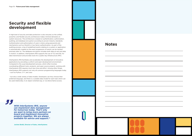A high level of security and data protection is also ensured, as the unified, powerful, and flexible security architecture makes minimal demands on system resources. The architecture is based on authentication, authorization, auditing, and database encryption according to proven industry standards. Authentication and authorization of users is done using passwords and mechanisms such as OAuth2 or two-factor authentication. As part of the auditing process, a log of predefined events relating to a system or application is automatically created so the exact progression of events can be tracked precisely later on. The database encryption includes both data at rest and data in motion. In addition, InterSystems IRIS supports the use of TLS and SSL for data transmission and provides tools for a public key infrastructure (PKI).

InterSystems IRIS facilitates and accelerates the development of innovative applications by providing a uniform and open development environment. Compared to the usual development process, which often involves coordinating different tools, products, and open source projects, working with InterSystems IRIS requires much less time and effort. Among other things, InterSystems IRIS supports not only all common programming languages today – such as Python, C++, and Java

– but also a wide variety of data models. Developers can thus choose their preferred language, and there is a suitable data model for each task which can be used relationally, in an object-oriented way, or via direct/native access.

### **Security and flexible development**

**Notes**







*With InterSystems IRIS, anyone can implement data management for tomorrow today. That's why we want to bring more partners on board and implement innovative projects together. We are always available for advice and support."*

**Jochen Boldt, Director of Sales, InterSystems**